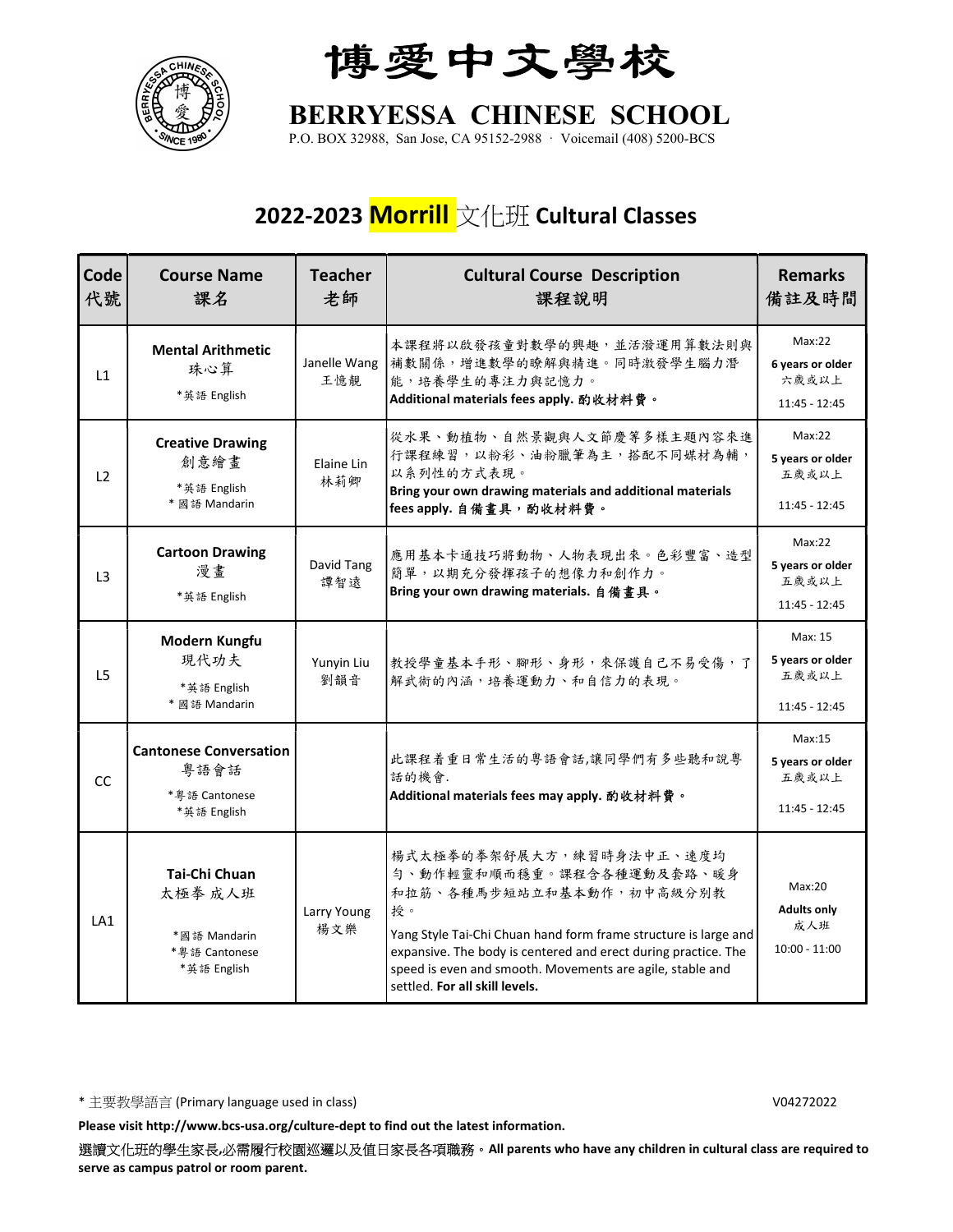

博愛中文學校

## BERRYESSA CHINESE SCHOOL

P.O. BOX 32988, San Jose, CA 95152-2988 · Voicemail (408) 5200-BCS

## 2022-2023 Morrill 文化班 Cultural Classes

| Code<br>代號     | <b>Course Name</b><br>課名                                                 | <b>Teacher</b><br>老師 | <b>Cultural Course Description</b><br>課程說明                                                                                                                                                                                                                                                                                  | <b>Remarks</b><br>備註及時間                                |
|----------------|--------------------------------------------------------------------------|----------------------|-----------------------------------------------------------------------------------------------------------------------------------------------------------------------------------------------------------------------------------------------------------------------------------------------------------------------------|--------------------------------------------------------|
| L1             | <b>Mental Arithmetic</b><br>珠心算<br>*英語 English                           | Janelle Wang<br>王憶靚  | 本課程將以啟發孩童對數學的興趣,並活潑運用算數法則與<br>補數關係,增進數學的瞭解與精進。同時激發學生腦力潛<br>能,培養學生的專注力與記憶力。<br>Additional materials fees apply. 酌收材料費。                                                                                                                                                                                                       | Max:22<br>6 years or older<br>六歲或以上<br>11:45 - 12:45   |
| L2             | <b>Creative Drawing</b><br>創意繪畫<br>*英語 English<br>* 國語 Mandarin          | Elaine Lin<br>林莉卿    | 從水果、動植物、自然景觀與人文節慶等多樣主題內容來進<br>行課程練習,以粉彩、油粉臘筆為主,搭配不同媒材為輔,<br>以系列性的方式表現。<br>Bring your own drawing materials and additional materials<br>fees apply. 自備畫具, 酌收材料費。                                                                                                                                                             | Max:22<br>5 years or older<br>五歲或以上<br>11:45 - 12:45   |
| L <sub>3</sub> | <b>Cartoon Drawing</b><br>漫畫<br>*英語 English                              | David Tang<br>譚智遠    | 應用基本卡通技巧將動物、人物表現出來。色彩豐富、造型<br>簡單,以期充分發揮孩子的想像力和創作力。<br>Bring your own drawing materials. 自備畫具。                                                                                                                                                                                                                               | Max:22<br>5 years or older<br>五歲或以上<br>11:45 - 12:45   |
| L5             | Modern Kungfu<br>現代功夫<br>*英語 English<br>* 國語 Mandarin                    | Yunyin Liu<br>劉韻音    | 教授學童基本手形、腳形、身形,來保護自己不易受傷,了<br>解武術的內涵,培養運動力、和自信力的表現。                                                                                                                                                                                                                                                                         | Max: 15<br>5 years or older<br>五歲或以上<br>11:45 - 12:45  |
| CC             | <b>Cantonese Conversation</b><br>粤語會話<br>* 粤語 Cantonese<br>*英語 English   |                      | 此課程着重日常生活的粤語會話,讓同學們有多些聽和說粤<br>話的機會.<br>Additional materials fees may apply. 酌收材料費。                                                                                                                                                                                                                                          | Max:15<br>5 years or older<br>五歲或以上<br>11:45 - 12:45   |
| LA1            | Tai-Chi Chuan<br>太極拳 成人班<br>*國語 Mandarin<br>*粤語 Cantonese<br>*英語 English | Larry Young<br>楊文樂   | 楊式太極拳的拳架舒展大方,練習時身法中正、速度均<br>勻、動作輕靈和順而穩重。課程含各種運動及套路、暖身<br>和拉筋、各種馬步短站立和基本動作,初中高級分別教<br>授。<br>Yang Style Tai-Chi Chuan hand form frame structure is large and<br>expansive. The body is centered and erect during practice. The<br>speed is even and smooth. Movements are agile, stable and<br>settled. For all skill levels. | Max:20<br><b>Adults only</b><br>成人班<br>$10:00 - 11:00$ |

\* 主要教學語言 (Primary language used in class) V04272022

Please visit http://www.bcs-usa.org/culture-dept to find out the latest information.

選讀文化班的學生家長,必需履行校園巡邏以及值日家長各項職務。All parents who have any children in cultural class are required to serve as campus patrol or room parent.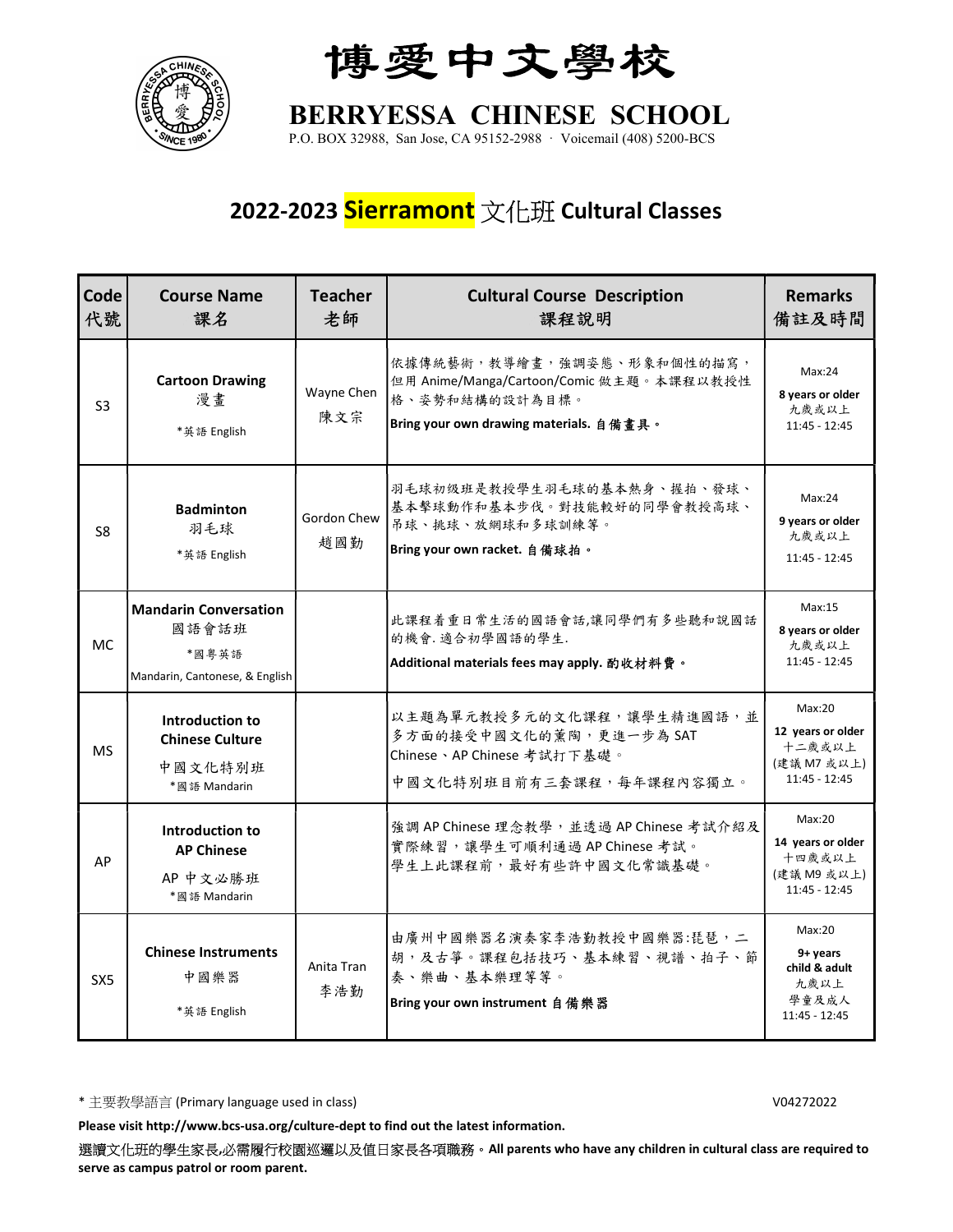

博愛中文學校

BERRYESSA CHINESE SCHOOL

P.O. BOX 32988, San Jose, CA 95152-2988 · Voicemail (408) 5200-BCS

## 2022-2023 Sierramont 文化班 Cultural Classes

| Code<br>代號     | <b>Course Name</b><br>課名                                                         | <b>Teacher</b><br>老師 | <b>Cultural Course Description</b><br>課程說明                                                                                          | <b>Remarks</b><br>備註及時間                                                 |
|----------------|----------------------------------------------------------------------------------|----------------------|-------------------------------------------------------------------------------------------------------------------------------------|-------------------------------------------------------------------------|
| S <sub>3</sub> | <b>Cartoon Drawing</b><br>漫畫<br>*英語 English                                      | Wayne Chen<br>陳文宗    | 依據傳統藝術,教導繪畫,強調姿態、形象和個性的描寫,<br>但用 Anime/Manga/Cartoon/Comic 做主題。本課程以教授性<br>格、姿勢和結構的設計為目標。<br>Bring your own drawing materials. 自備畫具。 | Max:24<br>8 years or older<br>九歲或以上<br>$11:45 - 12:45$                  |
| S8             | <b>Badminton</b><br>羽毛球<br>*英語 English                                           | Gordon Chew<br>趙國勤   | 羽毛球初级班是教授學生羽毛球的基本熱身、握拍、發球、<br>基本擊球動作和基本步伐。對技能較好的同學會教授高球、<br>吊球、挑球、放網球和多球訓練等。<br>Bring your own racket. 自備球拍。                        | Max:24<br>9 years or older<br>九歲或以上<br>$11:45 - 12:45$                  |
| <b>MC</b>      | <b>Mandarin Conversation</b><br>國語會話班<br>*國粤英語<br>Mandarin, Cantonese, & English |                      | 此課程着重日常生活的國語會話,讓同學們有多些聽和說國話<br>的機會. 適合初學國語的學生.<br>Additional materials fees may apply. 酌收材料費。                                       | Max:15<br>8 years or older<br>九歲或以上<br>11:45 - 12:45                    |
| <b>MS</b>      | Introduction to<br><b>Chinese Culture</b><br>中國文化特別班<br>*國語 Mandarin             |                      | 以主題為單元教授多元的文化課程,讓學生精進國語,並<br>多方面的接受中國文化的薰陶,更進一步為 SAT<br>Chinese、AP Chinese 考試打下基礎。<br>中國文化特別班目前有三套課程,每年課程內容獨立。                      | Max:20<br>12 years or older<br>十二歲或以上<br>(建議 M7 或以上)<br>11:45 - 12:45   |
| AP             | Introduction to<br><b>AP Chinese</b><br>AP 中文必勝班<br>*國語 Mandarin                 |                      | 強調 AP Chinese 理念教學,並透過 AP Chinese 考試介紹及<br>實際練習,讓學生可順利通過 AP Chinese 考試。<br>學生上此課程前,最好有些許中國文化常識基礎。                                   | Max:20<br>14 years or older<br>十四歲或以上<br>(建議 M9 或以上)<br>11:45 - 12:45   |
| SX5            | <b>Chinese Instruments</b><br>中國樂器<br>*英語 English                                | Anita Tran<br>李浩勤    | 由廣州中國樂器名演奏家李浩勤教授中國樂器:琵琶,二<br>胡,及古箏。課程包括技巧、基本練習、視譜、拍子、節<br>奏、樂曲、基本樂理等等。<br>Bring your own instrument 自備樂器                            | Max:20<br>$9+$ years<br>child & adult<br>九歲以上<br>學童及成人<br>11:45 - 12:45 |

\* 主要教學語言 (Primary language used in class) V04272022

Please visit http://www.bcs-usa.org/culture-dept to find out the latest information.

選讀文化班的學生家長,必需履行校園巡邏以及值日家長各項職務。All parents who have any children in cultural class are required to serve as campus patrol or room parent.